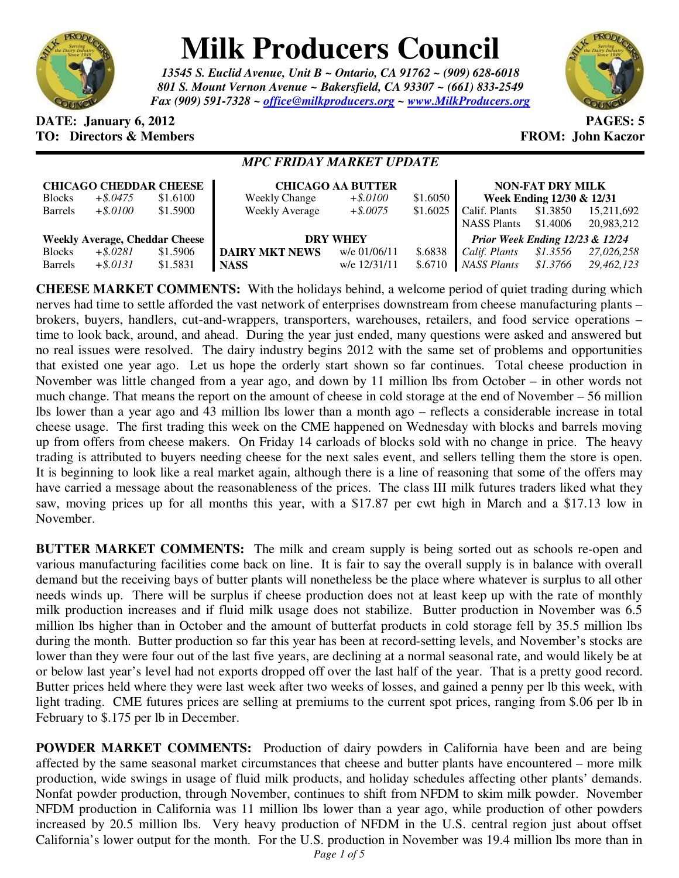

# **Milk Producers Council**

*13545 S. Euclid Avenue, Unit B ~ Ontario, CA 91762 ~ (909) 628-6018 801 S. Mount Vernon Avenue ~ Bakersfield, CA 93307 ~ (661) 833-2549 Fax (909) 591-7328 ~ office@milkproducers.org ~ www.MilkProducers.org*



#### **DATE: January 6, 2012 PAGES: 5 TO: Directors & Members TO: Piccore All Members FROM: John Kaczor**

## *MPC FRIDAY MARKET UPDATE*

| <b>CHICAGO CHEDDAR CHEESE</b>         |             |          | <b>CHICAGO AA BUTTER</b> | <b>NON-FAT DRY MILK</b> |          |                                 |          |            |
|---------------------------------------|-------------|----------|--------------------------|-------------------------|----------|---------------------------------|----------|------------|
| <b>Blocks</b>                         | $+$ \$.0475 | \$1.6100 | <b>Weekly Change</b>     | $+$ \$.0100             | \$1.6050 | Week Ending 12/30 & 12/31       |          |            |
| <b>Barrels</b>                        | $+$ \$.0100 | \$1.5900 | <b>Weekly Average</b>    | $+$ \$.0075             | \$1.6025 | Calif. Plants                   | \$1.3850 | 15,211,692 |
|                                       |             |          |                          |                         |          | <b>NASS Plants</b>              | \$1.4006 | 20,983,212 |
| <b>Weekly Average, Cheddar Cheese</b> |             |          | <b>DRY WHEY</b>          |                         |          | Prior Week Ending 12/23 & 12/24 |          |            |
| <b>Blocks</b>                         | $+$ \$.0281 | \$1.5906 | <b>DAIRY MKT NEWS</b>    | w/e 01/06/11            | \$.6838  | Calif. Plants                   | \$1.3556 | 27,026,258 |
| <b>Barrels</b>                        | $+$ \$.0131 | \$1.5831 | <b>NASS</b>              | w/e 12/31/11            | \$.6710  | <b>NASS Plants</b>              | \$1.3766 | 29.462.123 |

**CHEESE MARKET COMMENTS:** With the holidays behind, a welcome period of quiet trading during which nerves had time to settle afforded the vast network of enterprises downstream from cheese manufacturing plants – brokers, buyers, handlers, cut-and-wrappers, transporters, warehouses, retailers, and food service operations – time to look back, around, and ahead. During the year just ended, many questions were asked and answered but no real issues were resolved. The dairy industry begins 2012 with the same set of problems and opportunities that existed one year ago. Let us hope the orderly start shown so far continues. Total cheese production in November was little changed from a year ago, and down by 11 million lbs from October – in other words not much change. That means the report on the amount of cheese in cold storage at the end of November – 56 million lbs lower than a year ago and 43 million lbs lower than a month ago – reflects a considerable increase in total cheese usage. The first trading this week on the CME happened on Wednesday with blocks and barrels moving up from offers from cheese makers. On Friday 14 carloads of blocks sold with no change in price. The heavy trading is attributed to buyers needing cheese for the next sales event, and sellers telling them the store is open. It is beginning to look like a real market again, although there is a line of reasoning that some of the offers may have carried a message about the reasonableness of the prices. The class III milk futures traders liked what they saw, moving prices up for all months this year, with a \$17.87 per cwt high in March and a \$17.13 low in November.

**BUTTER MARKET COMMENTS:** The milk and cream supply is being sorted out as schools re-open and various manufacturing facilities come back on line. It is fair to say the overall supply is in balance with overall demand but the receiving bays of butter plants will nonetheless be the place where whatever is surplus to all other needs winds up. There will be surplus if cheese production does not at least keep up with the rate of monthly milk production increases and if fluid milk usage does not stabilize. Butter production in November was 6.5 million lbs higher than in October and the amount of butterfat products in cold storage fell by 35.5 million lbs during the month. Butter production so far this year has been at record-setting levels, and November's stocks are lower than they were four out of the last five years, are declining at a normal seasonal rate, and would likely be at or below last year's level had not exports dropped off over the last half of the year. That is a pretty good record. Butter prices held where they were last week after two weeks of losses, and gained a penny per lb this week, with light trading. CME futures prices are selling at premiums to the current spot prices, ranging from \$.06 per lb in February to \$.175 per lb in December.

**POWDER MARKET COMMENTS:** Production of dairy powders in California have been and are being affected by the same seasonal market circumstances that cheese and butter plants have encountered – more milk production, wide swings in usage of fluid milk products, and holiday schedules affecting other plants' demands. Nonfat powder production, through November, continues to shift from NFDM to skim milk powder. November NFDM production in California was 11 million lbs lower than a year ago, while production of other powders increased by 20.5 million lbs. Very heavy production of NFDM in the U.S. central region just about offset California's lower output for the month. For the U.S. production in November was 19.4 million lbs more than in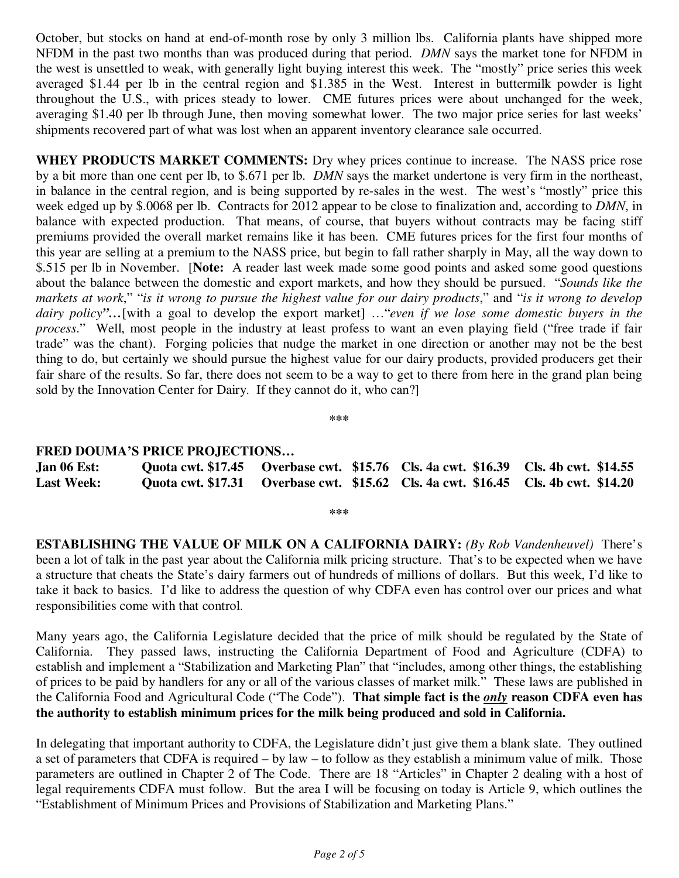October, but stocks on hand at end-of-month rose by only 3 million lbs. California plants have shipped more NFDM in the past two months than was produced during that period. *DMN* says the market tone for NFDM in the west is unsettled to weak, with generally light buying interest this week. The "mostly" price series this week averaged \$1.44 per lb in the central region and \$1.385 in the West. Interest in buttermilk powder is light throughout the U.S., with prices steady to lower. CME futures prices were about unchanged for the week, averaging \$1.40 per lb through June, then moving somewhat lower. The two major price series for last weeks' shipments recovered part of what was lost when an apparent inventory clearance sale occurred.

**WHEY PRODUCTS MARKET COMMENTS:** Dry whey prices continue to increase. The NASS price rose by a bit more than one cent per lb, to \$.671 per lb. *DMN* says the market undertone is very firm in the northeast, in balance in the central region, and is being supported by re-sales in the west. The west's "mostly" price this week edged up by \$.0068 per lb. Contracts for 2012 appear to be close to finalization and, according to *DMN*, in balance with expected production. That means, of course, that buyers without contracts may be facing stiff premiums provided the overall market remains like it has been. CME futures prices for the first four months of this year are selling at a premium to the NASS price, but begin to fall rather sharply in May, all the way down to \$.515 per lb in November.[**Note:** A reader last week made some good points and asked some good questions about the balance between the domestic and export markets, and how they should be pursued. "*Sounds like the markets at work*," "*is it wrong to pursue the highest value for our dairy products*," and "*is it wrong to develop dairy policy"…*[with a goal to develop the export market] …"*even if we lose some domestic buyers in the process*." Well, most people in the industry at least profess to want an even playing field ("free trade if fair trade" was the chant). Forging policies that nudge the market in one direction or another may not be the best thing to do, but certainly we should pursue the highest value for our dairy products, provided producers get their fair share of the results. So far, there does not seem to be a way to get to there from here in the grand plan being sold by the Innovation Center for Dairy. If they cannot do it, who can?]

**\*\*\*** 

### **FRED DOUMA'S PRICE PROJECTIONS…**

| Jan 06 Est:       |  | Quota cwt. \$17.45 Overbase cwt. \$15.76 Cls. 4a cwt. \$16.39 Cls. 4b cwt. \$14.55 |  |
|-------------------|--|------------------------------------------------------------------------------------|--|
| <b>Last Week:</b> |  | Quota cwt. \$17.31 Overbase cwt. \$15.62 Cls. 4a cwt. \$16.45 Cls. 4b cwt. \$14.20 |  |

**\*\*\*** 

**ESTABLISHING THE VALUE OF MILK ON A CALIFORNIA DAIRY:** *(By Rob Vandenheuvel)* There's been a lot of talk in the past year about the California milk pricing structure. That's to be expected when we have a structure that cheats the State's dairy farmers out of hundreds of millions of dollars. But this week, I'd like to take it back to basics. I'd like to address the question of why CDFA even has control over our prices and what responsibilities come with that control.

Many years ago, the California Legislature decided that the price of milk should be regulated by the State of California. They passed laws, instructing the California Department of Food and Agriculture (CDFA) to establish and implement a "Stabilization and Marketing Plan" that "includes, among other things, the establishing of prices to be paid by handlers for any or all of the various classes of market milk." These laws are published in the California Food and Agricultural Code ("The Code"). **That simple fact is the** *only* **reason CDFA even has the authority to establish minimum prices for the milk being produced and sold in California.**

In delegating that important authority to CDFA, the Legislature didn't just give them a blank slate. They outlined a set of parameters that CDFA is required – by law – to follow as they establish a minimum value of milk. Those parameters are outlined in Chapter 2 of The Code. There are 18 "Articles" in Chapter 2 dealing with a host of legal requirements CDFA must follow. But the area I will be focusing on today is Article 9, which outlines the "Establishment of Minimum Prices and Provisions of Stabilization and Marketing Plans."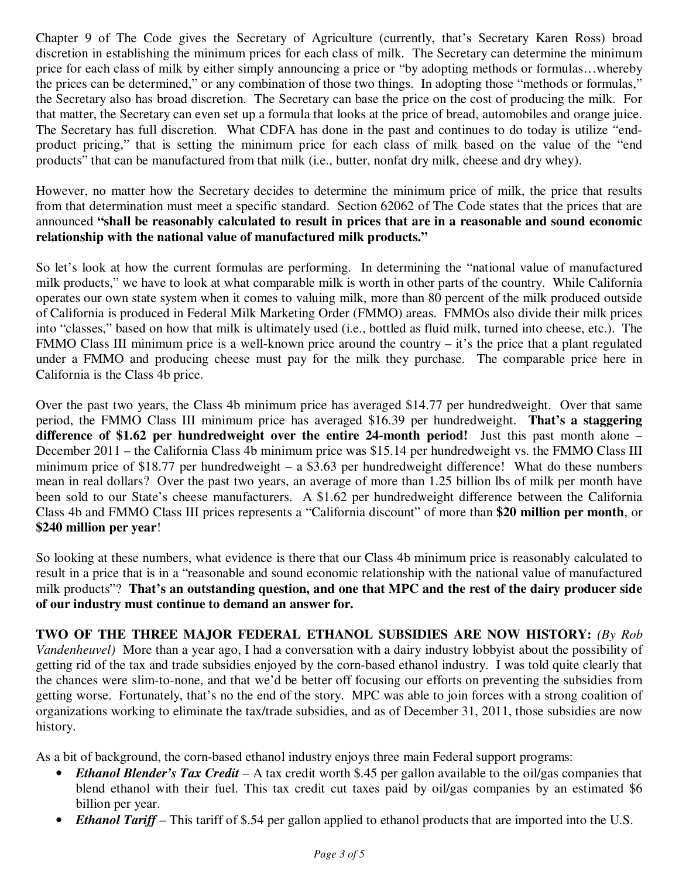Chapter 9 of The Code gives the Secretary of Agriculture (currently, that's Secretary Karen Ross) broad discretion in establishing the minimum prices for each class of milk. The Secretary can determine the minimum price for each class of milk by either simply announcing a price or "by adopting methods or formulas…whereby the prices can be determined," or any combination of those two things. In adopting those "methods or formulas," the Secretary also has broad discretion. The Secretary can base the price on the cost of producing the milk. For that matter, the Secretary can even set up a formula that looks at the price of bread, automobiles and orange juice. The Secretary has full discretion. What CDFA has done in the past and continues to do today is utilize "endproduct pricing," that is setting the minimum price for each class of milk based on the value of the "end products" that can be manufactured from that milk (i.e., butter, nonfat dry milk, cheese and dry whey).

However, no matter how the Secretary decides to determine the minimum price of milk, the price that results from that determination must meet a specific standard. Section 62062 of The Code states that the prices that are announced **"shall be reasonably calculated to result in prices that are in a reasonable and sound economic relationship with the national value of manufactured milk products."**

So let's look at how the current formulas are performing. In determining the "national value of manufactured milk products," we have to look at what comparable milk is worth in other parts of the country. While California operates our own state system when it comes to valuing milk, more than 80 percent of the milk produced outside of California is produced in Federal Milk Marketing Order (FMMO) areas. FMMOs also divide their milk prices into "classes," based on how that milk is ultimately used (i.e., bottled as fluid milk, turned into cheese, etc.). The FMMO Class III minimum price is a well-known price around the country – it's the price that a plant regulated under a FMMO and producing cheese must pay for the milk they purchase. The comparable price here in California is the Class 4b price.

Over the past two years, the Class 4b minimum price has averaged \$14.77 per hundredweight. Over that same period, the FMMO Class III minimum price has averaged \$16.39 per hundredweight. **That's a staggering difference of \$1.62 per hundredweight over the entire 24-month period!** Just this past month alone – December 2011 – the California Class 4b minimum price was \$15.14 per hundredweight vs. the FMMO Class III minimum price of \$18.77 per hundredweight – a \$3.63 per hundredweight difference! What do these numbers mean in real dollars? Over the past two years, an average of more than 1.25 billion lbs of milk per month have been sold to our State's cheese manufacturers. A \$1.62 per hundredweight difference between the California Class 4b and FMMO Class III prices represents a "California discount" of more than **\$20 million per month**, or **\$240 million per year**!

So looking at these numbers, what evidence is there that our Class 4b minimum price is reasonably calculated to result in a price that is in a "reasonable and sound economic relationship with the national value of manufactured milk products"? **That's an outstanding question, and one that MPC and the rest of the dairy producer side of our industry must continue to demand an answer for.**

**TWO OF THE THREE MAJOR FEDERAL ETHANOL SUBSIDIES ARE NOW HISTORY:** *(By Rob Vandenheuvel)* More than a year ago, I had a conversation with a dairy industry lobbyist about the possibility of getting rid of the tax and trade subsidies enjoyed by the corn-based ethanol industry. I was told quite clearly that the chances were slim-to-none, and that we'd be better off focusing our efforts on preventing the subsidies from getting worse. Fortunately, that's no the end of the story. MPC was able to join forces with a strong coalition of organizations working to eliminate the tax/trade subsidies, and as of December 31, 2011, those subsidies are now history.

As a bit of background, the corn-based ethanol industry enjoys three main Federal support programs:

- *Ethanol Blender's Tax Credit* A tax credit worth \$.45 per gallon available to the oil/gas companies that blend ethanol with their fuel. This tax credit cut taxes paid by oil/gas companies by an estimated \$6 billion per year.
- *Ethanol Tariff* This tariff of \$.54 per gallon applied to ethanol products that are imported into the U.S.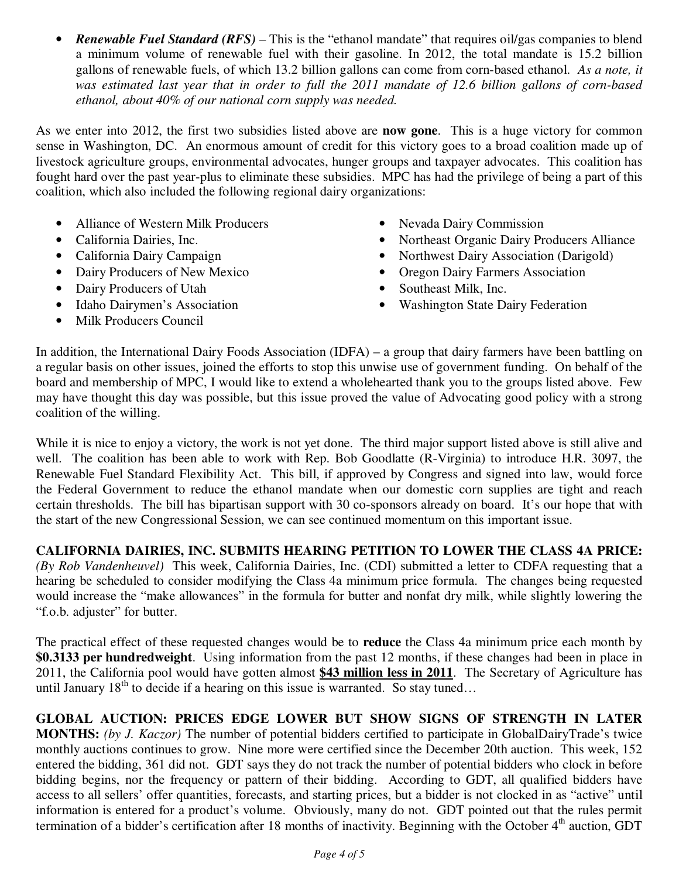• *Renewable Fuel Standard (RFS)* – This is the "ethanol mandate" that requires oil/gas companies to blend a minimum volume of renewable fuel with their gasoline. In 2012, the total mandate is 15.2 billion gallons of renewable fuels, of which 13.2 billion gallons can come from corn-based ethanol. *As a note, it was estimated last year that in order to full the 2011 mandate of 12.6 billion gallons of corn-based ethanol, about 40% of our national corn supply was needed.* 

As we enter into 2012, the first two subsidies listed above are **now gone**. This is a huge victory for common sense in Washington, DC. An enormous amount of credit for this victory goes to a broad coalition made up of livestock agriculture groups, environmental advocates, hunger groups and taxpayer advocates. This coalition has fought hard over the past year-plus to eliminate these subsidies. MPC has had the privilege of being a part of this coalition, which also included the following regional dairy organizations:

- Alliance of Western Milk Producers
- California Dairies, Inc.
- California Dairy Campaign
- Dairy Producers of New Mexico
- Dairy Producers of Utah
- Idaho Dairymen's Association
- Milk Producers Council
- Nevada Dairy Commission
- Northeast Organic Dairy Producers Alliance
- Northwest Dairy Association (Darigold)
- Oregon Dairy Farmers Association
- Southeast Milk, Inc.
- Washington State Dairy Federation

In addition, the International Dairy Foods Association (IDFA) – a group that dairy farmers have been battling on a regular basis on other issues, joined the efforts to stop this unwise use of government funding. On behalf of the board and membership of MPC, I would like to extend a wholehearted thank you to the groups listed above. Few may have thought this day was possible, but this issue proved the value of Advocating good policy with a strong coalition of the willing.

While it is nice to enjoy a victory, the work is not yet done. The third major support listed above is still alive and well. The coalition has been able to work with Rep. Bob Goodlatte (R-Virginia) to introduce H.R. 3097, the Renewable Fuel Standard Flexibility Act. This bill, if approved by Congress and signed into law, would force the Federal Government to reduce the ethanol mandate when our domestic corn supplies are tight and reach certain thresholds. The bill has bipartisan support with 30 co-sponsors already on board. It's our hope that with the start of the new Congressional Session, we can see continued momentum on this important issue.

## **CALIFORNIA DAIRIES, INC. SUBMITS HEARING PETITION TO LOWER THE CLASS 4A PRICE:**

*(By Rob Vandenheuvel)* This week, California Dairies, Inc. (CDI) submitted a letter to CDFA requesting that a hearing be scheduled to consider modifying the Class 4a minimum price formula. The changes being requested would increase the "make allowances" in the formula for butter and nonfat dry milk, while slightly lowering the "f.o.b. adjuster" for butter.

The practical effect of these requested changes would be to **reduce** the Class 4a minimum price each month by **\$0.3133 per hundredweight**. Using information from the past 12 months, if these changes had been in place in 2011, the California pool would have gotten almost **\$43 million less in 2011**. The Secretary of Agriculture has until January  $18^{th}$  to decide if a hearing on this issue is warranted. So stay tuned...

**GLOBAL AUCTION: PRICES EDGE LOWER BUT SHOW SIGNS OF STRENGTH IN LATER MONTHS:** *(by J. Kaczor)* The number of potential bidders certified to participate in GlobalDairyTrade's twice monthly auctions continues to grow. Nine more were certified since the December 20th auction. This week, 152 entered the bidding, 361 did not. GDT says they do not track the number of potential bidders who clock in before bidding begins, nor the frequency or pattern of their bidding. According to GDT, all qualified bidders have access to all sellers' offer quantities, forecasts, and starting prices, but a bidder is not clocked in as "active" until information is entered for a product's volume. Obviously, many do not. GDT pointed out that the rules permit termination of a bidder's certification after 18 months of inactivity. Beginning with the October  $4<sup>th</sup>$  auction, GDT